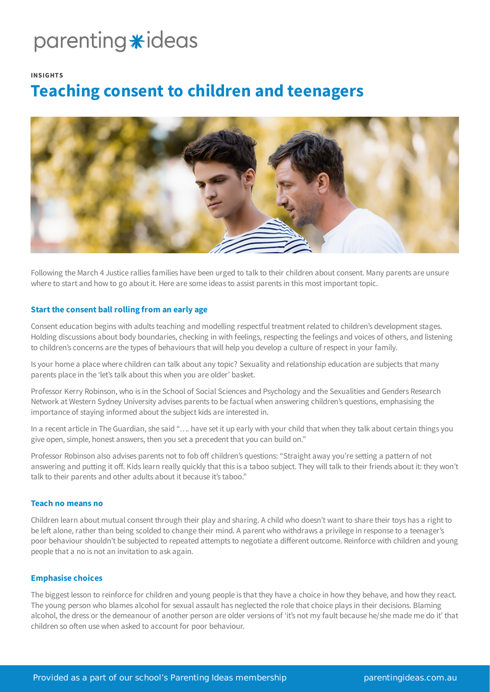## parenting \*ideas

#### **INSIGHTS**

### **Teaching consent to children and teenagers**



Following the March 4 Justice rallies families have been urged to talk to their children about consent. Many parents are unsure where to start and how to go about it. Here are some ideas to assist parents in this most important topic.

### **Startthe consent ball rolling from an early age**

Consent education begins with adults teaching and modelling respectful treatment related to children's development stages. Holding discussions about body boundaries, checking in with feelings, respecting the feelings and voices of others, and listening to children's concerns are the types of behaviours that will help you develop a culture of respect in your family.

Is your home a place where children can talk about any topic? Sexuality and relationship education are subjects that many parents place in the 'let's talk about this when you are older' basket.

Professor Kerry Robinson, who is in the School of Social Sciences and Psychology and the Sexualities and Genders Research Network at Western Sydney University advises parents to be factual when answering children's questions, emphasising the importance of staying informed about the subject kids are interested in.

In a recent article in The Guardian, she said "…. have set it up early with your child that when they talk about certain things you give open, simple, honest answers, then you set a precedent that you can build on."

Professor Robinson also advises parents not to fob off children's questions: "Straight away you're setting a pattern of not answering and putting it off. Kids learn really quickly that this is a taboo subject. They will talk to their friends about it: they won't talk to their parents and other adults about it because it's taboo."

### **Teach no means no**

Children learn about mutual consent through their play and sharing. A child who doesn't want to share their toys has a right to be left alone, rather than being scolded to change their mind. A parent who withdraws a privilege in response to a teenager's poor behaviour shouldn't be subjected to repeated attempts to negotiate a different outcome. Reinforce with children and young people that a no is not an invitation to ask again.

### **Emphasise choices**

The biggest lesson to reinforce for children and young people is that they have a choice in how they behave, and how they react. The young person who blames alcohol for sexual assault has neglected the role that choice plays in their decisions. Blaming alcohol, the dress or the demeanour of another person are older versions of 'it's not my fault because he/she made me do it' that children so often use when asked to account for poor behaviour.